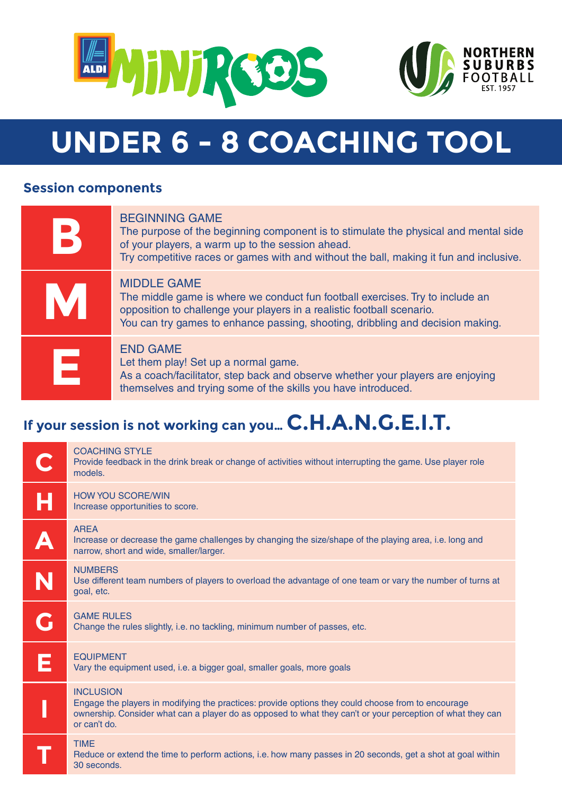



# **UNDER 6 - 8 COACHING TOOL**

## **Session components**

|   | <b>BEGINNING GAME</b><br>The purpose of the beginning component is to stimulate the physical and mental side<br>of your players, a warm up to the session ahead.<br>Try competitive races or games with and without the ball, making it fun and inclusive.      |
|---|-----------------------------------------------------------------------------------------------------------------------------------------------------------------------------------------------------------------------------------------------------------------|
| M | <b>MIDDLE GAME</b><br>The middle game is where we conduct fun football exercises. Try to include an<br>opposition to challenge your players in a realistic football scenario.<br>You can try games to enhance passing, shooting, dribbling and decision making. |
| Ε | <b>END GAME</b><br>Let them play! Set up a normal game.<br>As a coach/facilitator, step back and observe whether your players are enjoying<br>themselves and trying some of the skills you have introduced.                                                     |

# **If your session is not working can you… C.H.A.N.G.E.I.T.**

|   | <b>COACHING STYLE</b><br>Provide feedback in the drink break or change of activities without interrupting the game. Use player role<br>models.                                                                                                       |
|---|------------------------------------------------------------------------------------------------------------------------------------------------------------------------------------------------------------------------------------------------------|
| Ĥ | <b>HOW YOU SCORE/WIN</b><br>Increase opportunities to score.                                                                                                                                                                                         |
| A | <b>AREA</b><br>Increase or decrease the game challenges by changing the size/shape of the playing area, i.e. long and<br>narrow, short and wide, smaller/larger.                                                                                     |
| N | <b>NUMBERS</b><br>Use different team numbers of players to overload the advantage of one team or vary the number of turns at<br>goal, etc.                                                                                                           |
|   | <b>GAME RULES</b><br>Change the rules slightly, i.e. no tackling, minimum number of passes, etc.                                                                                                                                                     |
| E | <b>EQUIPMENT</b><br>Vary the equipment used, i.e. a bigger goal, smaller goals, more goals                                                                                                                                                           |
|   | <b>INCLUSION</b><br>Engage the players in modifying the practices: provide options they could choose from to encourage<br>ownership. Consider what can a player do as opposed to what they can't or your perception of what they can<br>or can't do. |
|   | <b>TIME</b><br>Reduce or extend the time to perform actions, i.e. how many passes in 20 seconds, get a shot at goal within<br>30 seconds.                                                                                                            |
|   |                                                                                                                                                                                                                                                      |